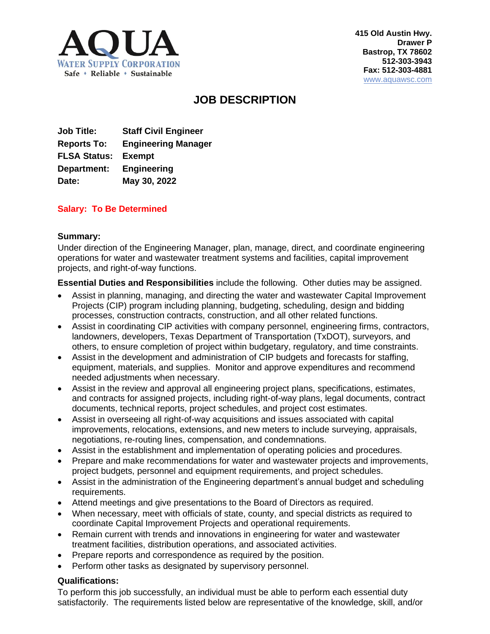

**415 Old Austin Hwy. Drawer P Bastrop, TX 78602 512-303-3943 Fax: 512-303-4881** [www.aquawsc.com](http://www.aquawsc.com/)

# **JOB DESCRIPTION**

**Job Title: Staff Civil Engineer Reports To: Engineering Manager FLSA Status: Exempt Department: Engineering Date: May 30, 2022**

## **Salary: To Be Determined**

#### **Summary:**

Under direction of the Engineering Manager, plan, manage, direct, and coordinate engineering operations for water and wastewater treatment systems and facilities, capital improvement projects, and right-of-way functions.

**Essential Duties and Responsibilities** include the following. Other duties may be assigned.

- Assist in planning, managing, and directing the water and wastewater Capital Improvement Projects (CIP) program including planning, budgeting, scheduling, design and bidding processes, construction contracts, construction, and all other related functions.
- Assist in coordinating CIP activities with company personnel, engineering firms, contractors, landowners, developers, Texas Department of Transportation (TxDOT), surveyors, and others, to ensure completion of project within budgetary, regulatory, and time constraints.
- Assist in the development and administration of CIP budgets and forecasts for staffing, equipment, materials, and supplies. Monitor and approve expenditures and recommend needed adjustments when necessary.
- Assist in the review and approval all engineering project plans, specifications, estimates, and contracts for assigned projects, including right-of-way plans, legal documents, contract documents, technical reports, project schedules, and project cost estimates.
- Assist in overseeing all right-of-way acquisitions and issues associated with capital improvements, relocations, extensions, and new meters to include surveying, appraisals, negotiations, re-routing lines, compensation, and condemnations.
- Assist in the establishment and implementation of operating policies and procedures.
- Prepare and make recommendations for water and wastewater projects and improvements, project budgets, personnel and equipment requirements, and project schedules.
- Assist in the administration of the Engineering department's annual budget and scheduling requirements.
- Attend meetings and give presentations to the Board of Directors as required.
- When necessary, meet with officials of state, county, and special districts as required to coordinate Capital Improvement Projects and operational requirements.
- Remain current with trends and innovations in engineering for water and wastewater treatment facilities, distribution operations, and associated activities.
- Prepare reports and correspondence as required by the position.
- Perform other tasks as designated by supervisory personnel.

#### **Qualifications:**

To perform this job successfully, an individual must be able to perform each essential duty satisfactorily. The requirements listed below are representative of the knowledge, skill, and/or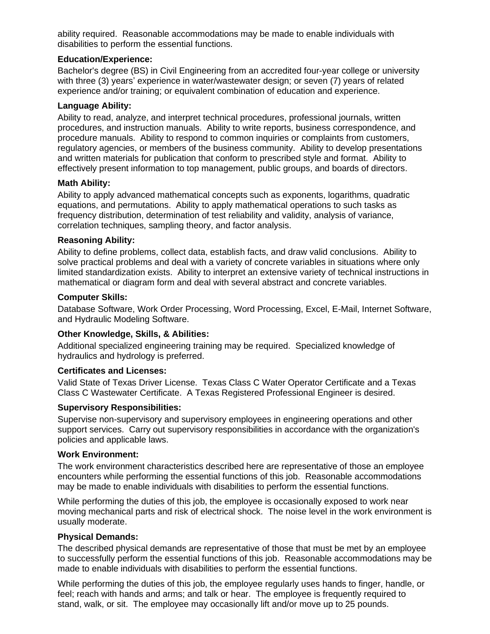ability required. Reasonable accommodations may be made to enable individuals with disabilities to perform the essential functions.

## **Education/Experience:**

Bachelor's degree (BS) in Civil Engineering from an accredited four-year college or university with three (3) years' experience in water/wastewater design; or seven (7) years of related experience and/or training; or equivalent combination of education and experience.

### **Language Ability:**

Ability to read, analyze, and interpret technical procedures, professional journals, written procedures, and instruction manuals. Ability to write reports, business correspondence, and procedure manuals. Ability to respond to common inquiries or complaints from customers, regulatory agencies, or members of the business community. Ability to develop presentations and written materials for publication that conform to prescribed style and format. Ability to effectively present information to top management, public groups, and boards of directors.

## **Math Ability:**

Ability to apply advanced mathematical concepts such as exponents, logarithms, quadratic equations, and permutations. Ability to apply mathematical operations to such tasks as frequency distribution, determination of test reliability and validity, analysis of variance, correlation techniques, sampling theory, and factor analysis.

#### **Reasoning Ability:**

Ability to define problems, collect data, establish facts, and draw valid conclusions. Ability to solve practical problems and deal with a variety of concrete variables in situations where only limited standardization exists. Ability to interpret an extensive variety of technical instructions in mathematical or diagram form and deal with several abstract and concrete variables.

## **Computer Skills:**

Database Software, Work Order Processing, Word Processing, Excel, E-Mail, Internet Software, and Hydraulic Modeling Software.

## **Other Knowledge, Skills, & Abilities:**

Additional specialized engineering training may be required. Specialized knowledge of hydraulics and hydrology is preferred.

## **Certificates and Licenses:**

Valid State of Texas Driver License. Texas Class C Water Operator Certificate and a Texas Class C Wastewater Certificate. A Texas Registered Professional Engineer is desired.

#### **Supervisory Responsibilities:**

Supervise non-supervisory and supervisory employees in engineering operations and other support services. Carry out supervisory responsibilities in accordance with the organization's policies and applicable laws.

#### **Work Environment:**

The work environment characteristics described here are representative of those an employee encounters while performing the essential functions of this job. Reasonable accommodations may be made to enable individuals with disabilities to perform the essential functions.

While performing the duties of this job, the employee is occasionally exposed to work near moving mechanical parts and risk of electrical shock. The noise level in the work environment is usually moderate.

#### **Physical Demands:**

The described physical demands are representative of those that must be met by an employee to successfully perform the essential functions of this job. Reasonable accommodations may be made to enable individuals with disabilities to perform the essential functions.

While performing the duties of this job, the employee regularly uses hands to finger, handle, or feel; reach with hands and arms; and talk or hear. The employee is frequently required to stand, walk, or sit. The employee may occasionally lift and/or move up to 25 pounds.